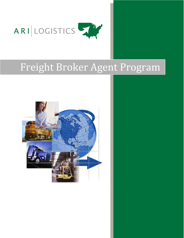

# Freight Broker Agent Program

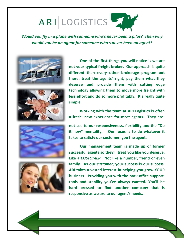# ARILOGISTICS

*Would you fly in a plane with someone who's never been a pilot? Then why would you be an agent for someone who's never been an agent?*





**One of the first things you will notice is we are not your typical freight broker. Our approach is quite different than every other brokerage program out there: treat the agents' right, pay them what they deserve and provide them with cutting edge technology allowing them to move more freight with less effort and do so more profitably. It's really quite simple.**

**Working with the team at ARI Logistics is often a fresh, new experience for most agents. They are**





**not use to our responsiveness, flexibility and the "Do it now" mentality. Our focus is to do whatever it takes to satisfy our customer, you the agent.**

**Our management team is made up of former successful agents so they'll treat you like you deserve. Like a** *CUSTOMER***. Not like a number, friend or even family. As our** *customer***, your success is our success. ARI takes a vested interest in helping you grow YOUR business. Providing you with the back office support, tools and stability you've always wanted. You'll be hard pressed to find another company that is responsive as we are to our agent's needs.**

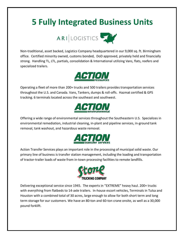## **5 Fully Integrated Business Units**



Non-traditional, asset backed, Logistics Company headquartered in our 9,000 sq. ft. Birmingham office. Certified minority owned, customs bonded, DoD approved, privately held and financially strong. Handling TL, LTL, partials, consolidation & International utilizing Vans, flats, reefers and specialized trailers.



Operating a fleet of more than 200+ trucks and 500 trailers provides transportation services throughout the U.S. and Canada. Vans, Tankers, dumps & roll-offs. Hazmat certified & GPS tracking. 6 terminals located across the southeast and southwest.



Offering a wide range of environmental servicesthroughout the Southeastern U.S. Specializes in environmental remediation, industrial cleaning, in-plant and pipeline services, in-ground tank removal, tank washout, and hazardous waste removal.



Action Transfer Services plays an important role in the processing of municipal solid waste. Our primary line of business is transfer station management, including the loading and transportation of tractor-trailer loads of waste from in-town processing facilities to remote landfills.



Delivering exceptional service since 1945. The experts in "EXTREME" heavy haul. 200+ trucks with everything from flatbeds to 14-axle trailers. In-house escort vehicles, Terminals in Tulsa and Houston with a combined total of 30 acres, large enough to allow for both short term and long term storage for our customers. We have an 80-ton and 60-ton crane onsite, as well as a 30,000 pound forklift.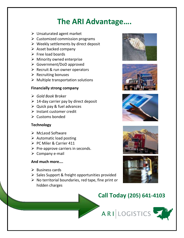## **The ARI Advantage….**

- $\triangleright$  Unsaturated agent market
- $\triangleright$  Customized commission programs
- $\triangleright$  Weekly settlements by direct deposit
- $\triangleright$  Asset backed company
- $\triangleright$  Free load boards
- $\triangleright$  Minority owned enterprise
- Government/DoD approved
- $\triangleright$  Recruit & run owner operators
- $\triangleright$  Recruiting bonuses
- $\triangleright$  Multiple transportation solutions

#### **Financially strong company**

- *Gold Book* Broker
- $\geq 14$ -day carrier pay by direct deposit
- $\triangleright$  Quick pay & fuel advances
- $\triangleright$  Instant customer credit
- $\triangleright$  Customs bonded

#### **Technology**

- $\triangleright$  McLeod Software
- $\triangleright$  Automatic load posting
- PC Miler & Carrier 411
- $\triangleright$  Pre-approve carriers in seconds.
- $\triangleright$  Company e-mail

#### **And much more….**

- $\triangleright$  Business cards
- $\triangleright$  Sales Support & freight opportunities provided
- $\triangleright$  No territorial boundaries, red tape, fine print or hidden charges











### **Call Today (205) 641-4103**

ARILOGISTICS